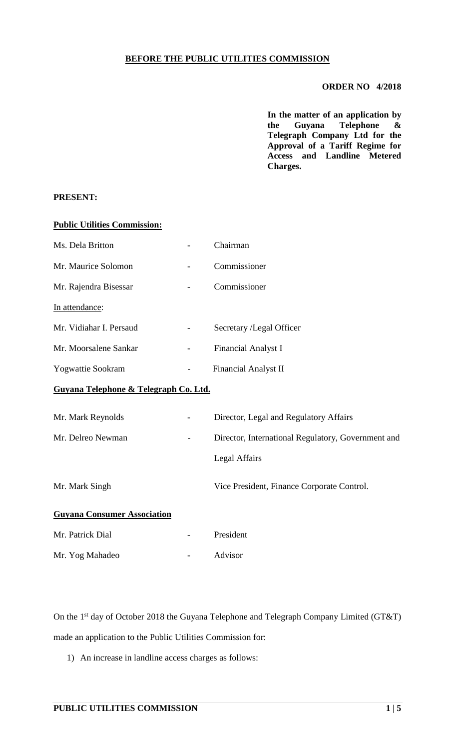## **BEFORE THE PUBLIC UTILITIES COMMISSION**

## **ORDER NO 4/2018**

**In the matter of an application by the Guyana Telephone & Telegraph Company Ltd for the Approval of a Tariff Regime for Access and Landline Metered Charges.**

## **PRESENT:**

| <b>Public Utilities Commission:</b>   |                                                    |  |  |
|---------------------------------------|----------------------------------------------------|--|--|
| Ms. Dela Britton                      | Chairman                                           |  |  |
| Mr. Maurice Solomon                   | Commissioner                                       |  |  |
| Mr. Rajendra Bisessar                 | Commissioner                                       |  |  |
| In attendance:                        |                                                    |  |  |
| Mr. Vidiahar I. Persaud               | Secretary /Legal Officer                           |  |  |
| Mr. Moorsalene Sankar                 | Financial Analyst I                                |  |  |
| Yogwattie Sookram                     | Financial Analyst II                               |  |  |
| Guyana Telephone & Telegraph Co. Ltd. |                                                    |  |  |
| Mr. Mark Reynolds                     | Director, Legal and Regulatory Affairs             |  |  |
| Mr. Delreo Newman                     | Director, International Regulatory, Government and |  |  |
|                                       | <b>Legal Affairs</b>                               |  |  |
| Mr. Mark Singh                        | Vice President, Finance Corporate Control.         |  |  |
| <b>Guyana Consumer Association</b>    |                                                    |  |  |
| Mr. Patrick Dial                      | President                                          |  |  |
| Mr. Yog Mahadeo                       | Advisor                                            |  |  |

On the 1<sup>st</sup> day of October 2018 the Guyana Telephone and Telegraph Company Limited (GT&T) made an application to the Public Utilities Commission for:

1) An increase in landline access charges as follows: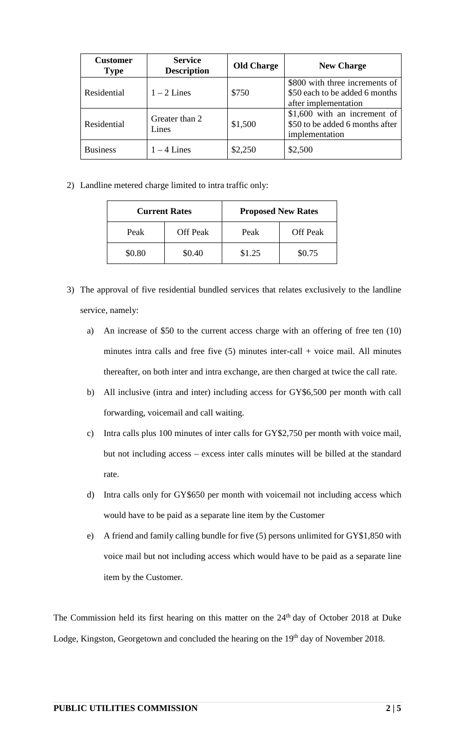| <b>Customer</b><br><b>Type</b> | <b>Service</b><br><b>Description</b> | <b>Old Charge</b> | <b>New Charge</b>                                                                        |
|--------------------------------|--------------------------------------|-------------------|------------------------------------------------------------------------------------------|
| Residential                    | $1 - 2$ Lines                        | \$750             | \$800 with three increments of<br>\$50 each to be added 6 months<br>after implementation |
| Residential                    | Greater than 2<br>Lines              | \$1,500           | \$1,600 with an increment of<br>\$50 to be added 6 months after<br>implementation        |
| <b>Business</b>                | $1 - 4$ Lines                        | \$2,250           | \$2,500                                                                                  |

2) Landline metered charge limited to intra traffic only:

| <b>Current Rates</b> |                 | <b>Proposed New Rates</b> |                 |  |
|----------------------|-----------------|---------------------------|-----------------|--|
| Peak                 | <b>Off Peak</b> | Peak                      | <b>Off Peak</b> |  |
| \$0.80               | \$0.40          | \$1.25                    | \$0.75          |  |

- 3) The approval of five residential bundled services that relates exclusively to the landline service, namely:
	- a) An increase of \$50 to the current access charge with an offering of free ten (10) minutes intra calls and free five  $(5)$  minutes inter-call + voice mail. All minutes thereafter, on both inter and intra exchange, are then charged at twice the call rate.
	- b) All inclusive (intra and inter) including access for GY\$6,500 per month with call forwarding, voicemail and call waiting.
	- c) Intra calls plus 100 minutes of inter calls for GY\$2,750 per month with voice mail, but not including access – excess inter calls minutes will be billed at the standard rate.
	- d) Intra calls only for GY\$650 per month with voicemail not including access which would have to be paid as a separate line item by the Customer
	- e) A friend and family calling bundle for five (5) persons unlimited for GY\$1,850 with voice mail but not including access which would have to be paid as a separate line item by the Customer.

The Commission held its first hearing on this matter on the 24<sup>th</sup> day of October 2018 at Duke Lodge, Kingston, Georgetown and concluded the hearing on the 19<sup>th</sup> day of November 2018.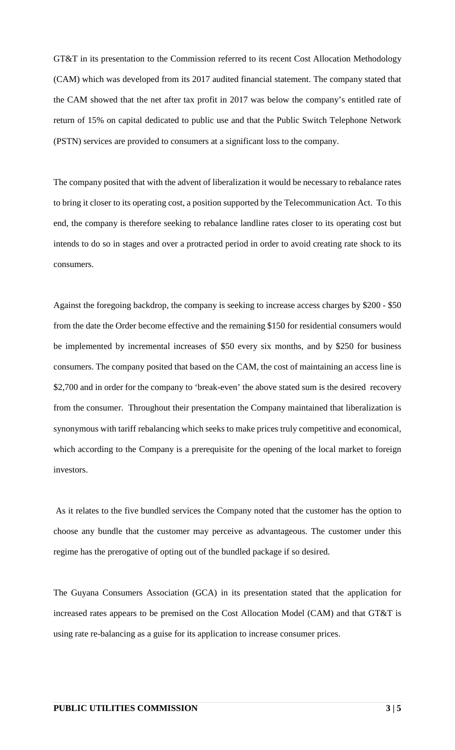GT&T in its presentation to the Commission referred to its recent Cost Allocation Methodology (CAM) which was developed from its 2017 audited financial statement. The company stated that the CAM showed that the net after tax profit in 2017 was below the company's entitled rate of return of 15% on capital dedicated to public use and that the Public Switch Telephone Network (PSTN) services are provided to consumers at a significant loss to the company.

The company posited that with the advent of liberalization it would be necessary to rebalance rates to bring it closer to its operating cost, a position supported by the Telecommunication Act. To this end, the company is therefore seeking to rebalance landline rates closer to its operating cost but intends to do so in stages and over a protracted period in order to avoid creating rate shock to its consumers.

Against the foregoing backdrop, the company is seeking to increase access charges by \$200 - \$50 from the date the Order become effective and the remaining \$150 for residential consumers would be implemented by incremental increases of \$50 every six months, and by \$250 for business consumers. The company posited that based on the CAM, the cost of maintaining an access line is \$2,700 and in order for the company to 'break-even' the above stated sum is the desired recovery from the consumer. Throughout their presentation the Company maintained that liberalization is synonymous with tariff rebalancing which seeks to make prices truly competitive and economical, which according to the Company is a prerequisite for the opening of the local market to foreign investors.

As it relates to the five bundled services the Company noted that the customer has the option to choose any bundle that the customer may perceive as advantageous. The customer under this regime has the prerogative of opting out of the bundled package if so desired.

The Guyana Consumers Association (GCA) in its presentation stated that the application for increased rates appears to be premised on the Cost Allocation Model (CAM) and that GT&T is using rate re-balancing as a guise for its application to increase consumer prices.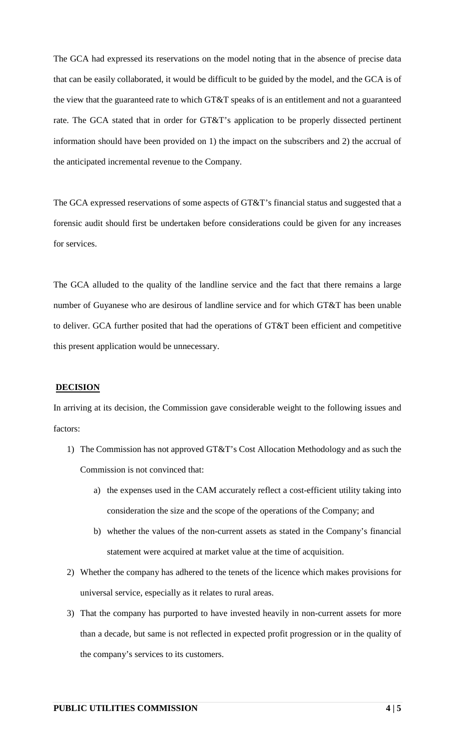The GCA had expressed its reservations on the model noting that in the absence of precise data that can be easily collaborated, it would be difficult to be guided by the model, and the GCA is of the view that the guaranteed rate to which GT&T speaks of is an entitlement and not a guaranteed rate. The GCA stated that in order for GT&T's application to be properly dissected pertinent information should have been provided on 1) the impact on the subscribers and 2) the accrual of the anticipated incremental revenue to the Company.

The GCA expressed reservations of some aspects of GT&T's financial status and suggested that a forensic audit should first be undertaken before considerations could be given for any increases for services.

The GCA alluded to the quality of the landline service and the fact that there remains a large number of Guyanese who are desirous of landline service and for which GT&T has been unable to deliver. GCA further posited that had the operations of GT&T been efficient and competitive this present application would be unnecessary.

## **DECISION**

In arriving at its decision, the Commission gave considerable weight to the following issues and factors:

- 1) The Commission has not approved GT&T's Cost Allocation Methodology and as such the Commission is not convinced that:
	- a) the expenses used in the CAM accurately reflect a cost-efficient utility taking into consideration the size and the scope of the operations of the Company; and
	- b) whether the values of the non-current assets as stated in the Company's financial statement were acquired at market value at the time of acquisition.
- 2) Whether the company has adhered to the tenets of the licence which makes provisions for universal service, especially as it relates to rural areas.
- 3) That the company has purported to have invested heavily in non-current assets for more than a decade, but same is not reflected in expected profit progression or in the quality of the company's services to its customers.